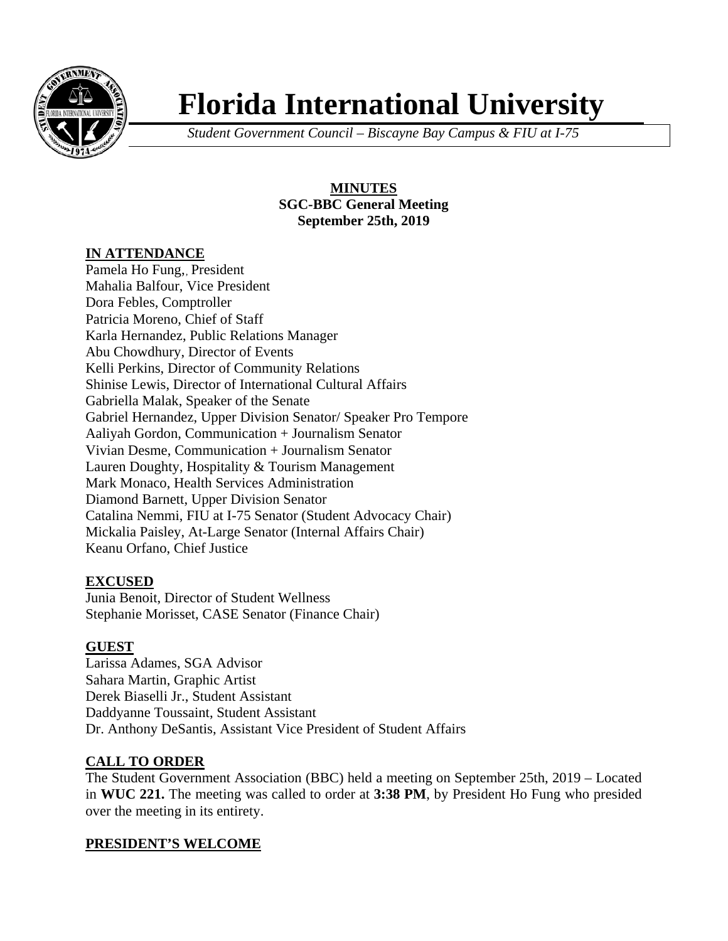

# **Florida International University**

*Student Government Council – Biscayne Bay Campus & FIU at I-75*

**MINUTES SGC-BBC General Meeting September 25th, 2019**

#### **IN ATTENDANCE**

Pamela Ho Fung,, President Mahalia Balfour, Vice President Dora Febles, Comptroller Patricia Moreno, Chief of Staff Karla Hernandez, Public Relations Manager Abu Chowdhury, Director of Events Kelli Perkins, Director of Community Relations Shinise Lewis, Director of International Cultural Affairs Gabriella Malak, Speaker of the Senate Gabriel Hernandez, Upper Division Senator/ Speaker Pro Tempore Aaliyah Gordon, Communication + Journalism Senator Vivian Desme, Communication + Journalism Senator Lauren Doughty, Hospitality & Tourism Management Mark Monaco, Health Services Administration Diamond Barnett, Upper Division Senator Catalina Nemmi, FIU at I-75 Senator (Student Advocacy Chair) Mickalia Paisley, At-Large Senator (Internal Affairs Chair) Keanu Orfano, Chief Justice

# **EXCUSED**

Junia Benoit, Director of Student Wellness Stephanie Morisset, CASE Senator (Finance Chair)

# **GUEST**

Larissa Adames, SGA Advisor Sahara Martin, Graphic Artist Derek Biaselli Jr., Student Assistant Daddyanne Toussaint, Student Assistant Dr. Anthony DeSantis, Assistant Vice President of Student Affairs

# **CALL TO ORDER**

The Student Government Association (BBC) held a meeting on September 25th, 2019 – Located in **WUC 221.** The meeting was called to order at **3:38 PM**, by President Ho Fung who presided over the meeting in its entirety.

# **PRESIDENT'S WELCOME**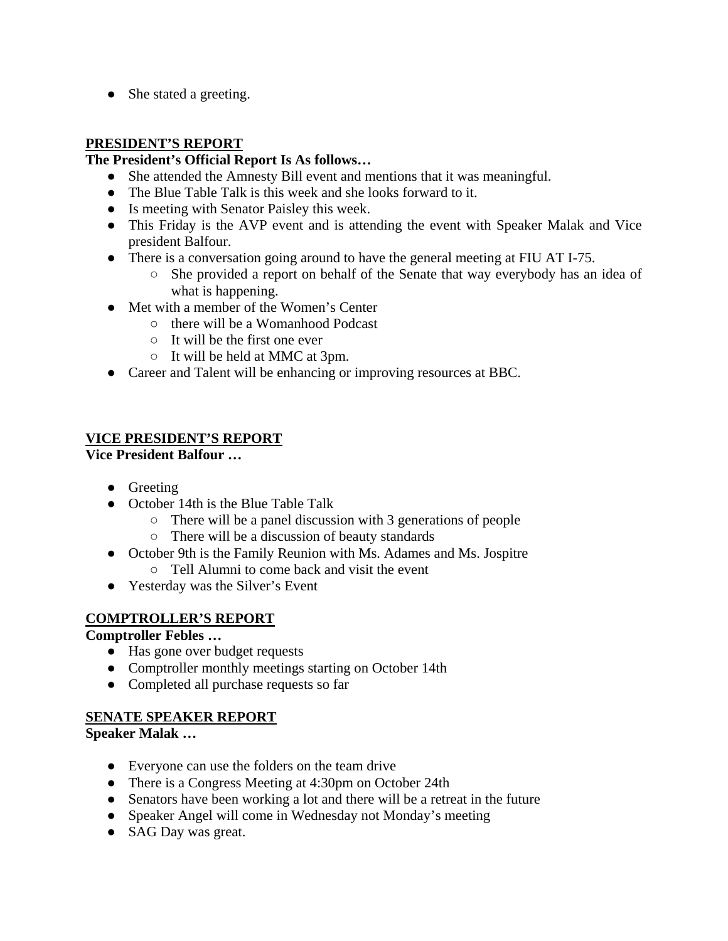• She stated a greeting.

## **PRESIDENT'S REPORT**

#### **The President's Official Report Is As follows…**

- She attended the Amnesty Bill event and mentions that it was meaningful.
- The Blue Table Talk is this week and she looks forward to it.
- Is meeting with Senator Paisley this week.
- This Friday is the AVP event and is attending the event with Speaker Malak and Vice president Balfour.
- There is a conversation going around to have the general meeting at FIU AT I-75.
	- She provided a report on behalf of the Senate that way everybody has an idea of what is happening.
- Met with a member of the Women's Center
	- there will be a Womanhood Podcast
	- It will be the first one ever
	- It will be held at MMC at 3pm.
- Career and Talent will be enhancing or improving resources at BBC.

## **VICE PRESIDENT'S REPORT**

**Vice President Balfour …** 

- Greeting
- October 14th is the Blue Table Talk
	- There will be a panel discussion with 3 generations of people
	- There will be a discussion of beauty standards
- October 9th is the Family Reunion with Ms. Adames and Ms. Jospitre
	- Tell Alumni to come back and visit the event
- Yesterday was the Silver's Event

#### **COMPTROLLER'S REPORT**

**Comptroller Febles …**

- Has gone over budget requests
- Comptroller monthly meetings starting on October 14th
- Completed all purchase requests so far

# **SENATE SPEAKER REPORT**

**Speaker Malak …** 

- Everyone can use the folders on the team drive
- There is a Congress Meeting at 4:30pm on October 24th
- Senators have been working a lot and there will be a retreat in the future
- Speaker Angel will come in Wednesday not Monday's meeting
- SAG Day was great.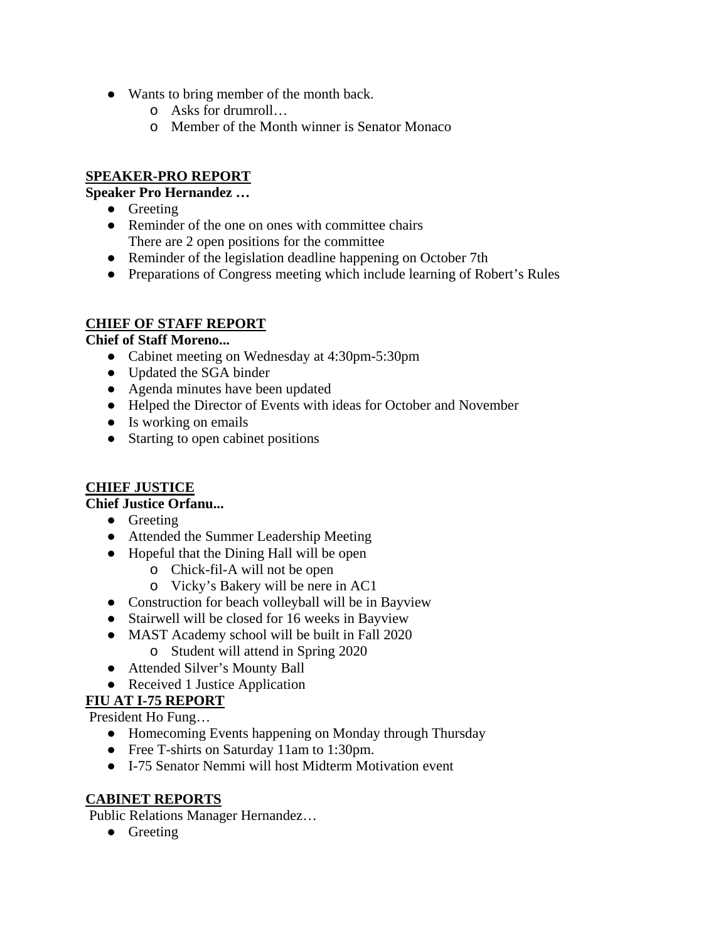- Wants to bring member of the month back.
	- o Asks for drumroll…
	- o Member of the Month winner is Senator Monaco

## **SPEAKER-PRO REPORT**

## **Speaker Pro Hernandez …**

- Greeting
- Reminder of the one on ones with committee chairs There are 2 open positions for the committee
- Reminder of the legislation deadline happening on October 7th
- Preparations of Congress meeting which include learning of Robert's Rules

## **CHIEF OF STAFF REPORT**

#### **Chief of Staff Moreno...**

- Cabinet meeting on Wednesday at 4:30pm-5:30pm
- Updated the SGA binder
- Agenda minutes have been updated
- Helped the Director of Events with ideas for October and November
- Is working on emails
- Starting to open cabinet positions

# **CHIEF JUSTICE**

## **Chief Justice Orfanu...**

- Greeting
- Attended the Summer Leadership Meeting
- Hopeful that the Dining Hall will be open
	- o Chick-fil-A will not be open
	- o Vicky's Bakery will be nere in AC1
- Construction for beach volleyball will be in Bayview
- Stairwell will be closed for 16 weeks in Bayview
- MAST Academy school will be built in Fall 2020
	- o Student will attend in Spring 2020
- Attended Silver's Mounty Ball
- Received 1 Justice Application

# **FIU AT I-75 REPORT**

President Ho Fung…

- Homecoming Events happening on Monday through Thursday
- Free T-shirts on Saturday 11am to 1:30pm.
- I-75 Senator Nemmi will host Midterm Motivation event

# **CABINET REPORTS**

Public Relations Manager Hernandez…

• Greeting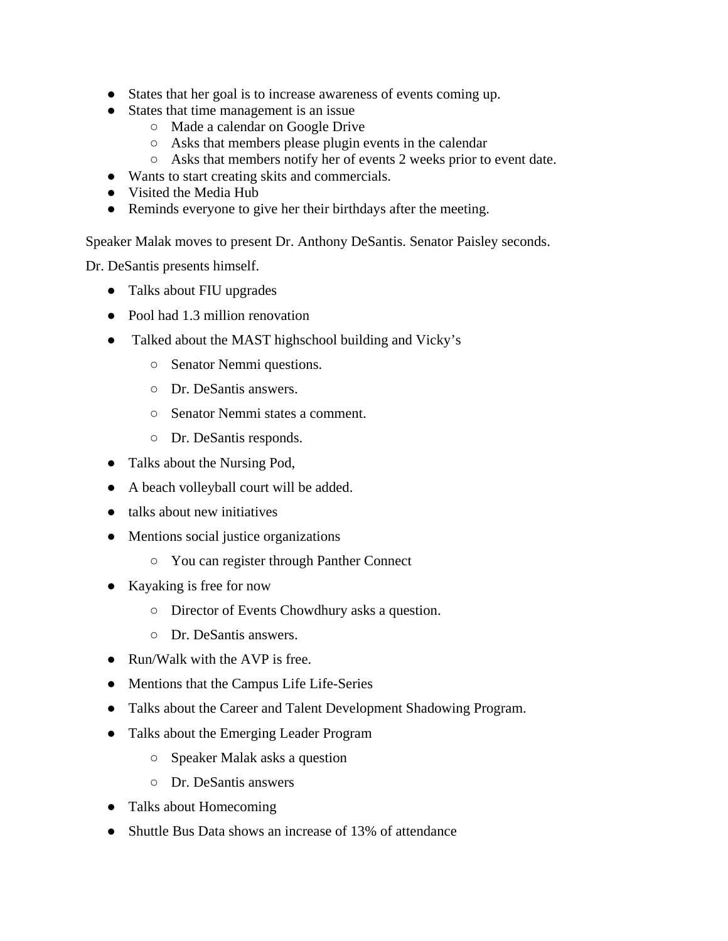- States that her goal is to increase awareness of events coming up.
- States that time management is an issue
	- Made a calendar on Google Drive
	- Asks that members please plugin events in the calendar
	- Asks that members notify her of events 2 weeks prior to event date.
- Wants to start creating skits and commercials.
- Visited the Media Hub
- Reminds everyone to give her their birthdays after the meeting.

Speaker Malak moves to present Dr. Anthony DeSantis. Senator Paisley seconds.

Dr. DeSantis presents himself.

- Talks about FIU upgrades
- Pool had 1.3 million renovation
- Talked about the MAST highschool building and Vicky's
	- Senator Nemmi questions.
	- Dr. DeSantis answers.
	- Senator Nemmi states a comment.
	- Dr. DeSantis responds.
- Talks about the Nursing Pod,
- A beach volleyball court will be added.
- talks about new initiatives
- Mentions social justice organizations
	- You can register through Panther Connect
- Kayaking is free for now
	- Director of Events Chowdhury asks a question.
	- Dr. DeSantis answers.
- Run/Walk with the AVP is free.
- Mentions that the Campus Life Life-Series
- Talks about the Career and Talent Development Shadowing Program.
- Talks about the Emerging Leader Program
	- Speaker Malak asks a question
	- Dr. DeSantis answers
- Talks about Homecoming
- Shuttle Bus Data shows an increase of 13% of attendance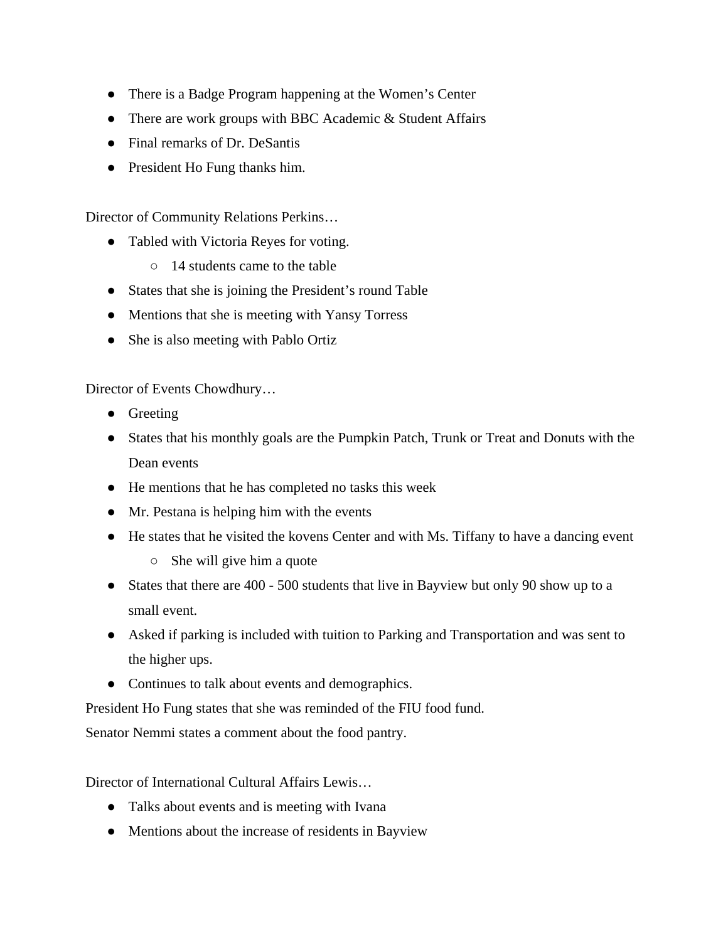- There is a Badge Program happening at the Women's Center
- There are work groups with BBC Academic & Student Affairs
- Final remarks of Dr. DeSantis
- President Ho Fung thanks him.

Director of Community Relations Perkins…

- Tabled with Victoria Reyes for voting.
	- 14 students came to the table
- States that she is joining the President's round Table
- Mentions that she is meeting with Yansy Torress
- She is also meeting with Pablo Ortiz

Director of Events Chowdhury…

- Greeting
- States that his monthly goals are the Pumpkin Patch, Trunk or Treat and Donuts with the Dean events
- He mentions that he has completed no tasks this week
- Mr. Pestana is helping him with the events
- He states that he visited the kovens Center and with Ms. Tiffany to have a dancing event
	- She will give him a quote
- States that there are 400 500 students that live in Bayview but only 90 show up to a small event.
- Asked if parking is included with tuition to Parking and Transportation and was sent to the higher ups.
- Continues to talk about events and demographics.

President Ho Fung states that she was reminded of the FIU food fund.

Senator Nemmi states a comment about the food pantry.

Director of International Cultural Affairs Lewis…

- Talks about events and is meeting with Ivana
- Mentions about the increase of residents in Bayview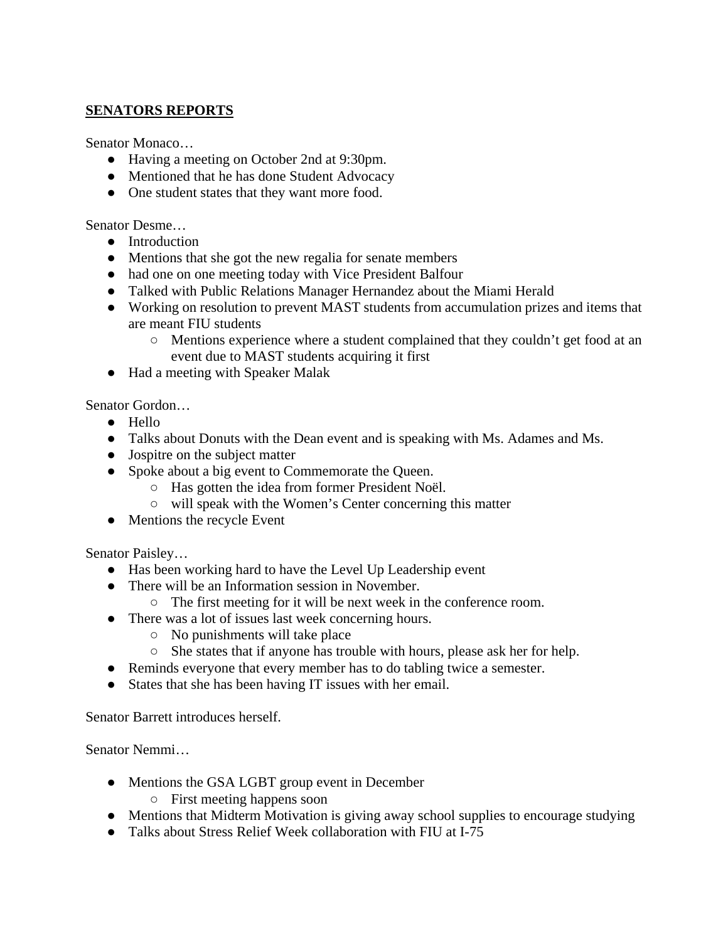## **SENATORS REPORTS**

Senator Monaco…

- Having a meeting on October 2nd at 9:30pm.
- Mentioned that he has done Student Advocacy
- One student states that they want more food.

Senator Desme…

- Introduction
- Mentions that she got the new regalia for senate members
- had one on one meeting today with Vice President Balfour
- Talked with Public Relations Manager Hernandez about the Miami Herald
- Working on resolution to prevent MAST students from accumulation prizes and items that are meant FIU students
	- Mentions experience where a student complained that they couldn't get food at an event due to MAST students acquiring it first
- Had a meeting with Speaker Malak

Senator Gordon…

- Hello
- Talks about Donuts with the Dean event and is speaking with Ms. Adames and Ms.
- Jospitre on the subject matter
- Spoke about a big event to Commemorate the Queen.
	- Has gotten the idea from former President Noël.
	- will speak with the Women's Center concerning this matter
- Mentions the recycle Event

Senator Paisley…

- Has been working hard to have the Level Up Leadership event
- There will be an Information session in November.
	- The first meeting for it will be next week in the conference room.
- There was a lot of issues last week concerning hours.
	- No punishments will take place
	- She states that if anyone has trouble with hours, please ask her for help.
- Reminds everyone that every member has to do tabling twice a semester.
- States that she has been having IT issues with her email.

Senator Barrett introduces herself.

Senator Nemmi…

- Mentions the GSA LGBT group event in December
	- First meeting happens soon
- Mentions that Midterm Motivation is giving away school supplies to encourage studying
- Talks about Stress Relief Week collaboration with FIU at I-75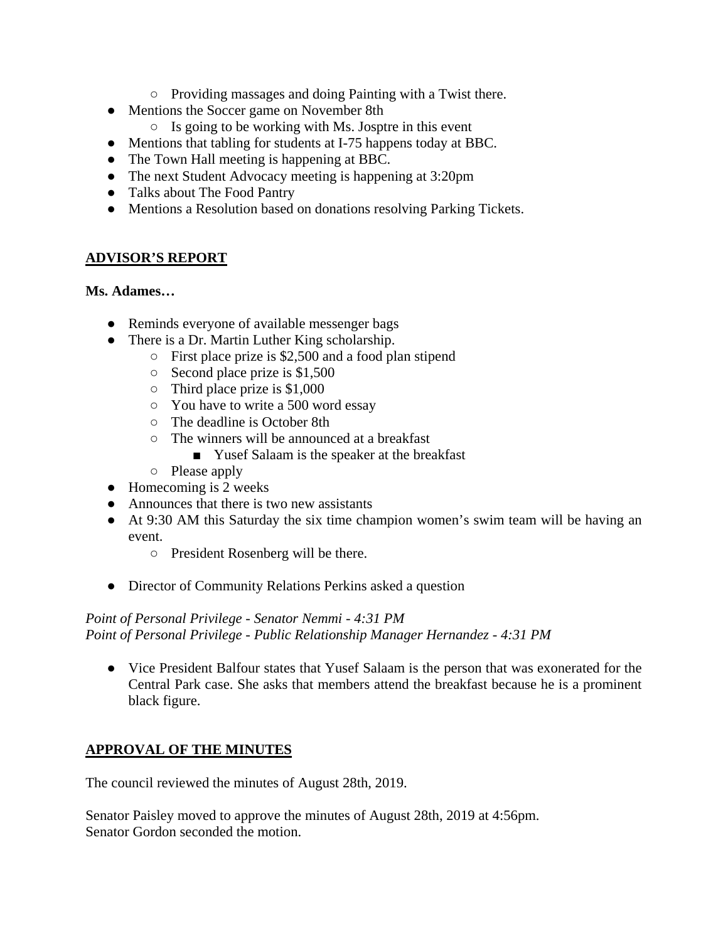- Providing massages and doing Painting with a Twist there.
- Mentions the Soccer game on November 8th
	- $\circ$  Is going to be working with Ms. Josptre in this event
- Mentions that tabling for students at I-75 happens today at BBC.
- The Town Hall meeting is happening at BBC.
- The next Student Advocacy meeting is happening at 3:20pm
- Talks about The Food Pantry
- Mentions a Resolution based on donations resolving Parking Tickets.

## **ADVISOR'S REPORT**

#### **Ms. Adames…**

- Reminds everyone of available messenger bags
- There is a Dr. Martin Luther King scholarship.
	- First place prize is \$2,500 and a food plan stipend
	- Second place prize is \$1,500
	- $\circ$  Third place prize is \$1,000
	- You have to write a 500 word essay
	- The deadline is October 8th
	- The winners will be announced at a breakfast
		- Yusef Salaam is the speaker at the breakfast
	- Please apply
- $\bullet$  Homecoming is 2 weeks
- Announces that there is two new assistants
- At 9:30 AM this Saturday the six time champion women's swim team will be having an event.
	- President Rosenberg will be there.
- Director of Community Relations Perkins asked a question

*Point of Personal Privilege - Senator Nemmi - 4:31 PM Point of Personal Privilege - Public Relationship Manager Hernandez - 4:31 PM*

● Vice President Balfour states that Yusef Salaam is the person that was exonerated for the Central Park case. She asks that members attend the breakfast because he is a prominent black figure.

# **APPROVAL OF THE MINUTES**

The council reviewed the minutes of August 28th, 2019.

Senator Paisley moved to approve the minutes of August 28th, 2019 at 4:56pm. Senator Gordon seconded the motion.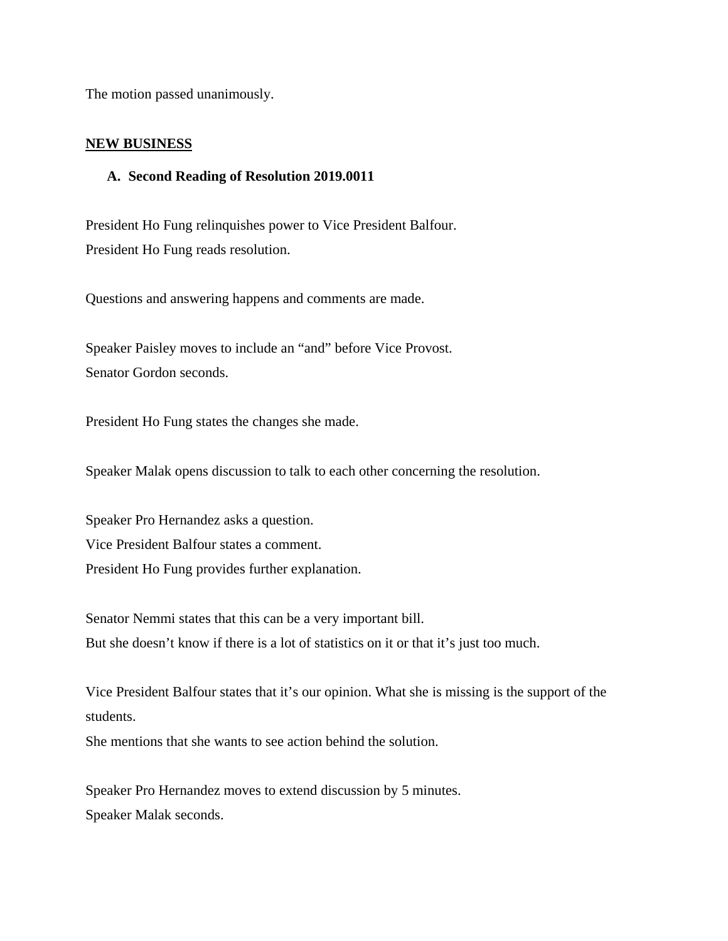The motion passed unanimously.

#### **NEW BUSINESS**

#### **A. Second Reading of Resolution 2019.0011**

President Ho Fung relinquishes power to Vice President Balfour. President Ho Fung reads resolution.

Questions and answering happens and comments are made.

Speaker Paisley moves to include an "and" before Vice Provost. Senator Gordon seconds.

President Ho Fung states the changes she made.

Speaker Malak opens discussion to talk to each other concerning the resolution.

Speaker Pro Hernandez asks a question. Vice President Balfour states a comment. President Ho Fung provides further explanation.

Senator Nemmi states that this can be a very important bill. But she doesn't know if there is a lot of statistics on it or that it's just too much.

Vice President Balfour states that it's our opinion. What she is missing is the support of the students.

She mentions that she wants to see action behind the solution.

Speaker Pro Hernandez moves to extend discussion by 5 minutes. Speaker Malak seconds.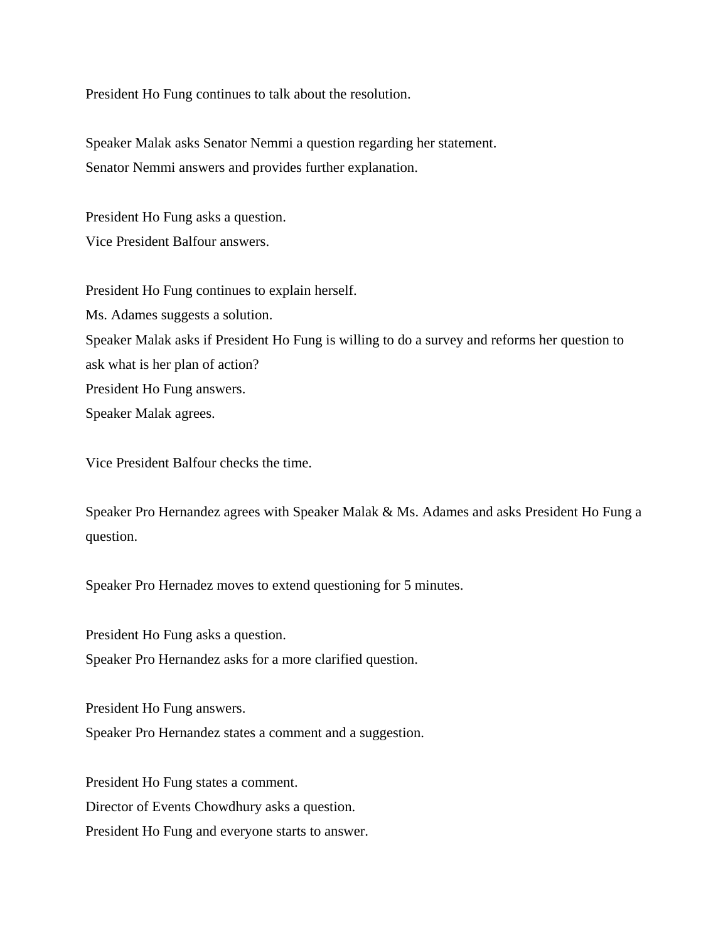President Ho Fung continues to talk about the resolution.

Speaker Malak asks Senator Nemmi a question regarding her statement. Senator Nemmi answers and provides further explanation.

President Ho Fung asks a question. Vice President Balfour answers.

President Ho Fung continues to explain herself.

Ms. Adames suggests a solution.

Speaker Malak asks if President Ho Fung is willing to do a survey and reforms her question to ask what is her plan of action? President Ho Fung answers. Speaker Malak agrees.

Vice President Balfour checks the time.

Speaker Pro Hernandez agrees with Speaker Malak & Ms. Adames and asks President Ho Fung a question.

Speaker Pro Hernadez moves to extend questioning for 5 minutes.

President Ho Fung asks a question.

Speaker Pro Hernandez asks for a more clarified question.

President Ho Fung answers.

Speaker Pro Hernandez states a comment and a suggestion.

President Ho Fung states a comment. Director of Events Chowdhury asks a question. President Ho Fung and everyone starts to answer.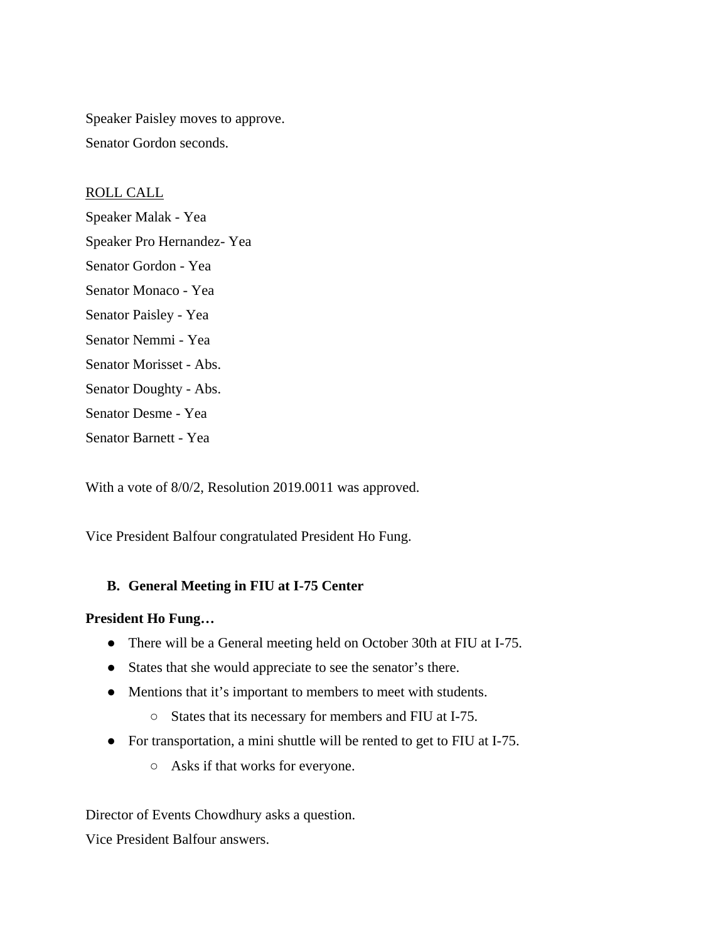Speaker Paisley moves to approve. Senator Gordon seconds.

ROLL CALL Speaker Malak - Yea Speaker Pro Hernandez- Yea Senator Gordon - Yea Senator Monaco - Yea Senator Paisley - Yea Senator Nemmi - Yea Senator Morisset - Abs. Senator Doughty - Abs. Senator Desme - Yea Senator Barnett - Yea

With a vote of 8/0/2, Resolution 2019.0011 was approved.

Vice President Balfour congratulated President Ho Fung.

#### **B. General Meeting in FIU at I-75 Center**

#### **President Ho Fung…**

- There will be a General meeting held on October 30th at FIU at I-75.
- States that she would appreciate to see the senator's there.
- Mentions that it's important to members to meet with students.
	- States that its necessary for members and FIU at I-75.
- For transportation, a mini shuttle will be rented to get to FIU at I-75.
	- Asks if that works for everyone.

Director of Events Chowdhury asks a question.

Vice President Balfour answers.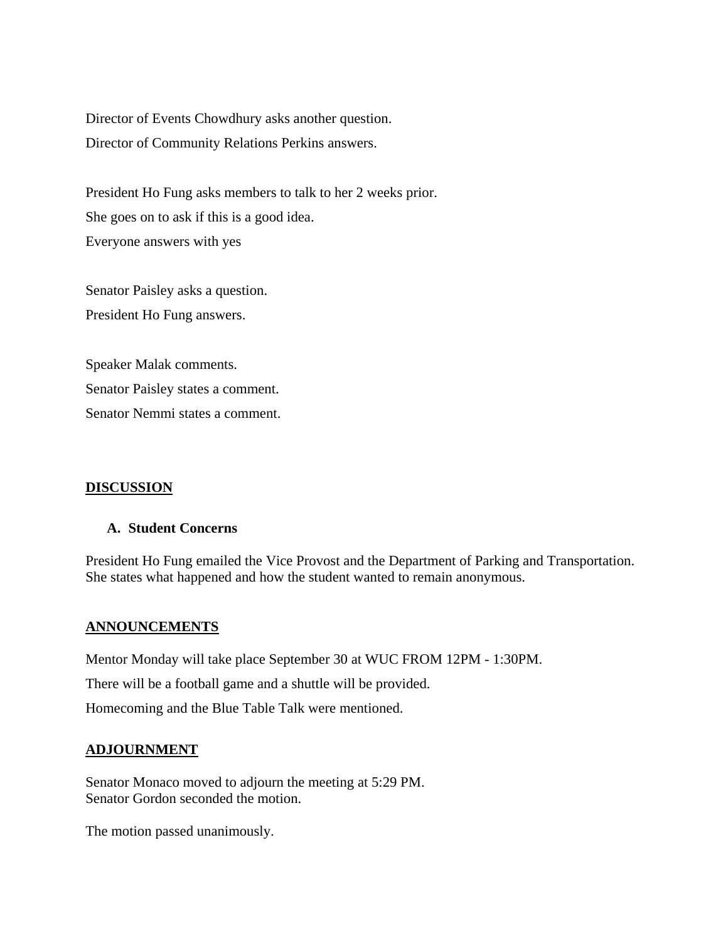Director of Events Chowdhury asks another question. Director of Community Relations Perkins answers.

President Ho Fung asks members to talk to her 2 weeks prior. She goes on to ask if this is a good idea. Everyone answers with yes

Senator Paisley asks a question. President Ho Fung answers.

Speaker Malak comments. Senator Paisley states a comment. Senator Nemmi states a comment.

#### **DISCUSSION**

#### **A. Student Concerns**

President Ho Fung emailed the Vice Provost and the Department of Parking and Transportation. She states what happened and how the student wanted to remain anonymous.

#### **ANNOUNCEMENTS**

Mentor Monday will take place September 30 at WUC FROM 12PM - 1:30PM.

There will be a football game and a shuttle will be provided.

Homecoming and the Blue Table Talk were mentioned.

#### **ADJOURNMENT**

Senator Monaco moved to adjourn the meeting at 5:29 PM. Senator Gordon seconded the motion.

The motion passed unanimously.